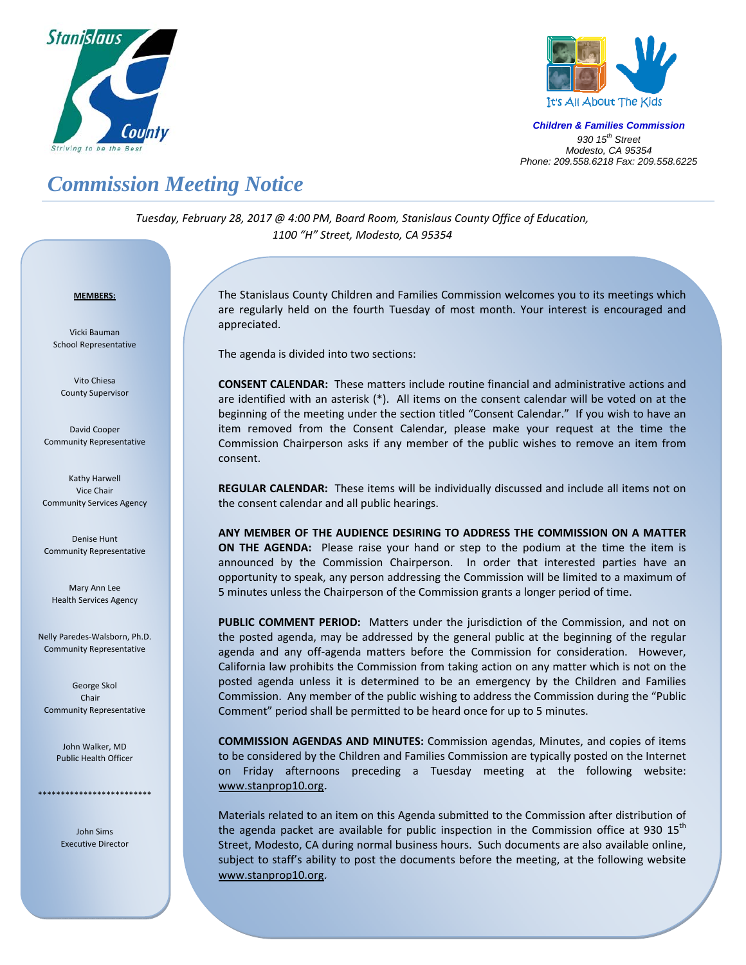



*Children & Families Commission 930 15th Street Modesto, CA 95354 Phone: 209.558.6218 Fax: 209.558.6225*

## *Commission Meeting Notice*

*Tuesday, February 28, 2017 @ 4:00 PM, Board Room, Stanislaus County Office of Education, 1100 "H" Street, Modesto, CA 95354*

## <sup>U</sup>**MEMBERS:**

Vicki Bauman School Representative

Vito Chiesa County Supervisor

David Cooper Community Representative

Kathy Harwell Vice Chair Community Services Agency

Denise Hunt Community Representative

Mary Ann Lee Health Services Agency

Nelly Paredes‐Walsborn, Ph.D. Community Representative

George Skol Chair Community Representative

> John Walker, MD Public Health Officer

\*\*\*\*\*\*\*\*\*\*\*\*\*\*\*\*\*\*\*\*\*\*\*\*\*

John Sims Executive Director

Į

The Stanislaus County Children and Families Commission welcomes you to its meetings which are regularly held on the fourth Tuesday of most month. Your interest is encouraged and appreciated.

The agenda is divided into two sections:

**CONSENT CALENDAR:** These matters include routine financial and administrative actions and are identified with an asterisk (\*). All items on the consent calendar will be voted on at the beginning of the meeting under the section titled "Consent Calendar." If you wish to have an item removed from the Consent Calendar, please make your request at the time the Commission Chairperson asks if any member of the public wishes to remove an item from consent.

**REGULAR CALENDAR:** These items will be individually discussed and include all items not on the consent calendar and all public hearings.

**ANY MEMBER OF THE AUDIENCE DESIRING TO ADDRESS THE COMMISSION ON A MATTER ON THE AGENDA:**  Please raise your hand or step to the podium at the time the item is announced by the Commission Chairperson. In order that interested parties have an opportunity to speak, any person addressing the Commission will be limited to a maximum of 5 minutes unless the Chairperson of the Commission grants a longer period of time.

**PUBLIC COMMENT PERIOD:** Matters under the jurisdiction of the Commission, and not on the posted agenda, may be addressed by the general public at the beginning of the regular agenda and any off-agenda matters before the Commission for consideration. However, California law prohibits the Commission from taking action on any matter which is not on the posted agenda unless it is determined to be an emergency by the Children and Families Commission. Any member of the public wishing to address the Commission during the "Public Comment" period shall be permitted to be heard once for up to 5 minutes.

**COMMISSION AGENDAS AND MINUTES:** Commission agendas, Minutes, and copies of items to be considered by the Children and Families Commission are typically posted on the Internet on Friday afternoons preceding a Tuesday meeting at the following website: www.stanprop10.org.

Materials related to an item on this Agenda submitted to the Commission after distribution of the agenda packet are available for public inspection in the Commission office at 930  $15<sup>th</sup>$ Street, Modesto, CA during normal business hours. Such documents are also available online, subject to staff's ability to post the documents before the meeting, at the following website www.stanprop10.org.